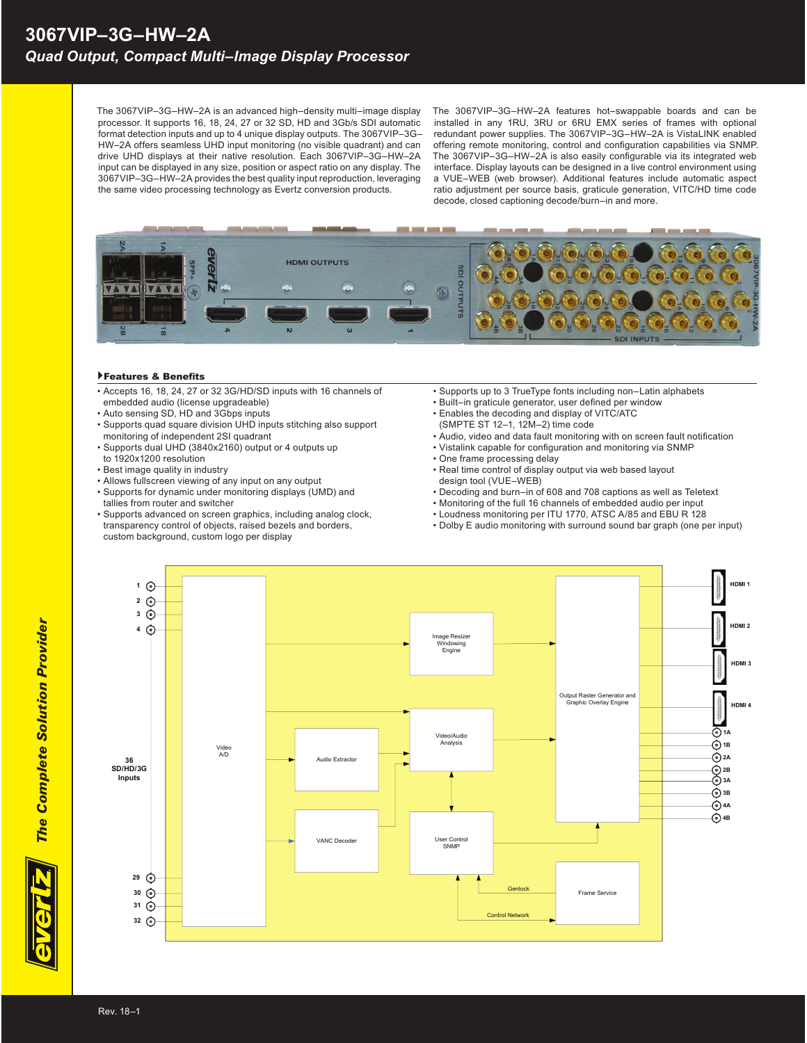The 3067VIP–3G–HW–2A is an advanced high–density multi–image display processor. It supports 16, 18, 24, 27 or 32 SD, HD and 3Gb/s SDI automatic format detection inputs and up to 4 unique display outputs. The 3067VIP–3G– HW–2A offers seamless UHD input monitoring (no visible quadrant) and can drive UHD displays at their native resolution. Each 3067VIP–3G–HW–2A input can be displayed in any size, position or aspect ratio on any display. The 3067VIP–3G–HW–2A provides the best quality input reproduction, leveraging the same video processing technology as Evertz conversion products.

The 3067VIP–3G–HW–2A features hot–swappable boards and can be installed in any 1RU, 3RU or 6RU EMX series of frames with optional redundant power supplies. The 3067VIP–3G–HW–2A is VistaLINK enabled offering remote monitoring, control and configuration capabilities via SNMP. The 3067VIP-3G-HW-2A is also easily configurable via its integrated web interface. Display layouts can be designed in a live control environment using a VUE–WEB (web browser). Additional features include automatic aspect ratio adjustment per source basis, graticule generation, VITC/HD time code decode, closed captioning decode/burn–in and more.



## Features & Benefits

- Accepts 16, 18, 24, 27 or 32 3G/HD/SD inputs with 16 channels of embedded audio (license upgradeable)
- Auto sensing SD, HD and 3Gbps inputs
- Supports quad square division UHD inputs stitching also support
- monitoring of independent 2SI quadrant • Supports dual UHD (3840x2160) output or 4 outputs up to 1920x1200 resolution
- Best image quality in industry
- Allows fullscreen viewing of any input on any output
- Supports for dynamic under monitoring displays (UMD) and
- tallies from router and switcher
- Supports advanced on screen graphics, including analog clock, transparency control of objects, raised bezels and borders, custom background, custom logo per display
- Supports up to 3 TrueType fonts including non–Latin alphabets
- Built-in graticule generator, user defined per window
- Enables the decoding and display of VITC/ATC
- (SMPTE ST 12–1, 12M–2) time code
- Audio, video and data fault monitoring with on screen fault notification • Vistalink capable for configuration and monitoring via SNMP
- One frame processing delay
- Real time control of display output via web based layout design tool (VUE–WEB)
- Decoding and burn–in of 608 and 708 captions as well as Teletext
- Monitoring of the full 16 channels of embedded audio per input
- Loudness monitoring per ITU 1770, ATSC A/85 and EBU R 128
- Dolby E audio monitoring with surround sound bar graph (one per input)



*The Complete Solution Provider*

**The Complete Solution Provider**